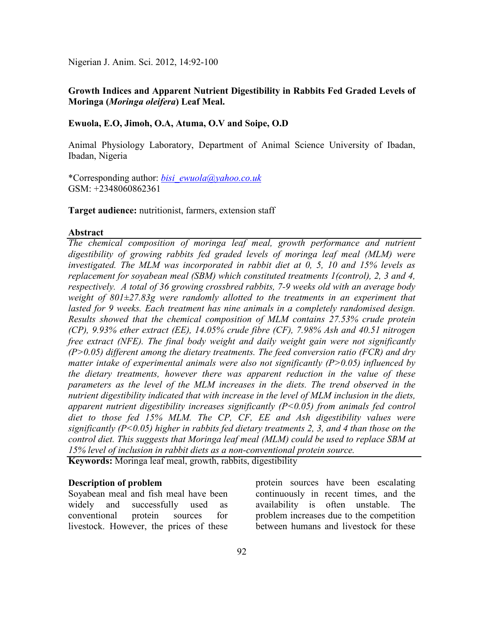Nigerian J. Anim. Sci. 2012, 14:92-100

# Growth Indices and Apparent Nutrient Digestibility in Rabbits Fed Graded Levels of **Moringa (***Moringa oleifera***) Leaf Meal.**

## **Ewuola, E.O, Jimoh, O.A, Atuma, O.V and Soipe, O.D**

Animal Physiology Laboratory, Department of Animal Science University of Ibadan, Ibadan, Nigeria

\*Corresponding author: *bisi\_ewuola@yahoo.co.uk* GSM: +2348060862361

**Target audience:** nutritionist, farmers, extension staff

#### **Abstract**

*The chemical composition of moringa leaf meal, growth performance and nutrient digestibility of growing rabbits fed graded levels of moringa leaf meal (MLM) were investigated. The MLM was incorporated in rabbit diet at 0, 5, 10 and 15% levels as replacement for soyabean meal (SBM) which constituted treatments 1(control), 2, 3 and 4, respectively. A total of 36 growing crossbred rabbits, 7-9 weeks old with an average body weight of 801±27.83g were randomly allotted to the treatments in an experiment that lasted for 9 weeks. Each treatment has nine animals in a completely randomised design. Results showed that the chemical composition of MLM contains 27.53% crude protein (CP), 9.93% ether extract (EE), 14.05% crude fibre (CF), 7.98% Ash and 40.51 nitrogen free extract (NFE). The final body weight and daily weight gain were not significantly (P>0.05) different among the dietary treatments. The feed conversion ratio (FCR) and dry matter intake of experimental animals were also not significantly (P>0.05) influenced by the dietary treatments, however there was apparent reduction in the value of these parameters as the level of the MLM increases in the diets. The trend observed in the nutrient digestibility indicated that with increase in the level of MLM inclusion in the diets, apparent nutrient digestibility increases significantly (P<0.05) from animals fed control diet to those fed 15% MLM. The CP, CF, EE and Ash digestibility values were significantly (P<0.05) higher in rabbits fed dietary treatments 2, 3, and 4 than those on the control diet. This suggests that Moringa leaf meal (MLM) could be used to replace SBM at 15% level of inclusion in rabbit diets as a non-conventional protein source.* 

**Keywords:** Moringa leaf meal, growth, rabbits, digestibility

#### **Description of problem**

Soyabean meal and fish meal have been widely and successfully used as conventional protein sources for livestock. However, the prices of these protein sources have been escalating continuously in recent times, and the availability is often unstable. The problem increases due to the competition between humans and livestock for these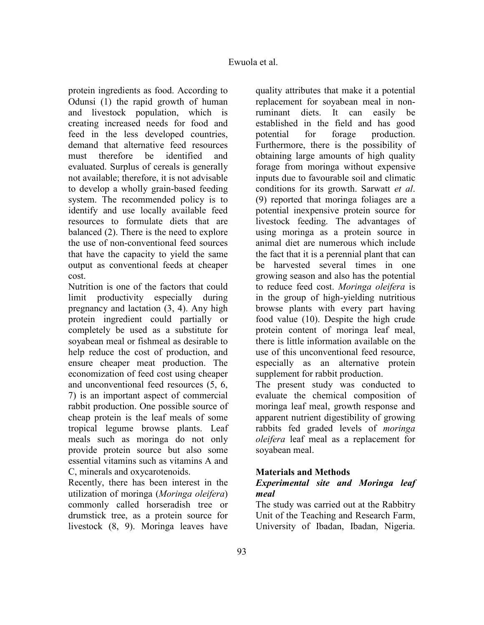protein ingredients as food. According to Odunsi (1) the rapid growth of human and livestock population, which is creating increased needs for food and feed in the less developed countries, demand that alternative feed resources must therefore be identified and evaluated. Surplus of cereals is generally not available; therefore, it is not advisable to develop a wholly grain-based feeding system. The recommended policy is to identify and use locally available feed resources to formulate diets that are balanced (2). There is the need to explore the use of non-conventional feed sources that have the capacity to yield the same output as conventional feeds at cheaper cost.

Nutrition is one of the factors that could limit productivity especially during pregnancy and lactation (3, 4). Any high protein ingredient could partially or completely be used as a substitute for soyabean meal or fishmeal as desirable to help reduce the cost of production, and ensure cheaper meat production. The economization of feed cost using cheaper and unconventional feed resources (5, 6, 7) is an important aspect of commercial rabbit production. One possible source of cheap protein is the leaf meals of some tropical legume browse plants. Leaf meals such as moringa do not only provide protein source but also some essential vitamins such as vitamins A and C, minerals and oxycarotenoids.

Recently, there has been interest in the utilization of moringa (*Moringa oleifera*) commonly called horseradish tree or drumstick tree, as a protein source for livestock (8, 9). Moringa leaves have

quality attributes that make it a potential replacement for soyabean meal in nonruminant diets. It can easily be established in the field and has good potential for forage production. Furthermore, there is the possibility of obtaining large amounts of high quality forage from moringa without expensive inputs due to favourable soil and climatic conditions for its growth. Sarwatt *et al*. (9) reported that moringa foliages are a potential inexpensive protein source for livestock feeding. The advantages of using moringa as a protein source in animal diet are numerous which include the fact that it is a perennial plant that can be harvested several times in one growing season and also has the potential to reduce feed cost. *Moringa oleifera* is in the group of high-yielding nutritious browse plants with every part having food value (10). Despite the high crude protein content of moringa leaf meal, there is little information available on the use of this unconventional feed resource, especially as an alternative protein supplement for rabbit production.

The present study was conducted to evaluate the chemical composition of moringa leaf meal, growth response and apparent nutrient digestibility of growing rabbits fed graded levels of *moringa oleifera* leaf meal as a replacement for soyabean meal.

# **Materials and Methods**

# *Experimental site and Moringa leaf meal*

The study was carried out at the Rabbitry Unit of the Teaching and Research Farm, University of Ibadan, Ibadan, Nigeria.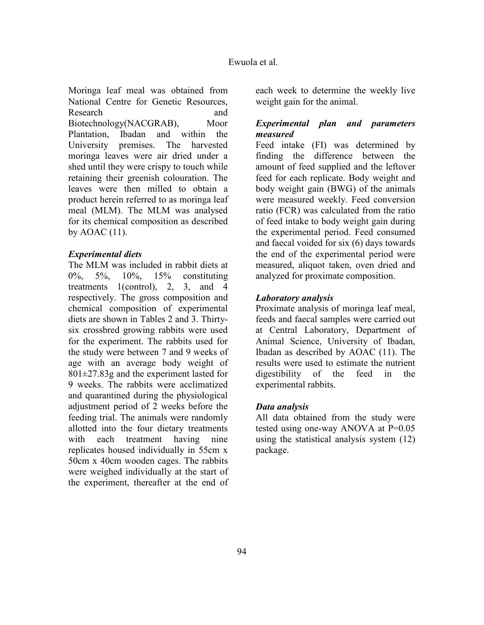Moringa leaf meal was obtained from National Centre for Genetic Resources, Research and and Biotechnology(NACGRAB), Moor Plantation, Ibadan and within the University premises. The harvested moringa leaves were air dried under a shed until they were crispy to touch while retaining their greenish colouration. The leaves were then milled to obtain a product herein referred to as moringa leaf meal (MLM). The MLM was analysed for its chemical composition as described by  $AOAC(11)$ .

### *Experimental diets*

The MLM was included in rabbit diets at 0%, 5%, 10%, 15% constituting treatments 1(control), 2, 3, and 4 respectively. The gross composition and chemical composition of experimental diets are shown in Tables 2 and 3. Thirtysix crossbred growing rabbits were used for the experiment. The rabbits used for the study were between 7 and 9 weeks of age with an average body weight of 801±27.83g and the experiment lasted for 9 weeks. The rabbits were acclimatized and quarantined during the physiological adjustment period of 2 weeks before the feeding trial. The animals were randomly allotted into the four dietary treatments with each treatment having nine replicates housed individually in 55cm x 50cm x 40cm wooden cages. The rabbits were weighed individually at the start of the experiment, thereafter at the end of

each week to determine the weekly live weight gain for the animal.

# *Experimental plan and parameters measured*

Feed intake (FI) was determined by finding the difference between the amount of feed supplied and the leftover feed for each replicate. Body weight and body weight gain (BWG) of the animals were measured weekly. Feed conversion ratio (FCR) was calculated from the ratio of feed intake to body weight gain during the experimental period. Feed consumed and faecal voided for six (6) days towards the end of the experimental period were measured, aliquot taken, oven dried and analyzed for proximate composition.

### *Laboratory analysis*

Proximate analysis of moringa leaf meal, feeds and faecal samples were carried out at Central Laboratory, Department of Animal Science, University of Ibadan, Ibadan as described by AOAC (11). The results were used to estimate the nutrient digestibility of the feed in the experimental rabbits.

#### *Data analysis*

All data obtained from the study were tested using one-way ANOVA at P=0.05 using the statistical analysis system (12) package.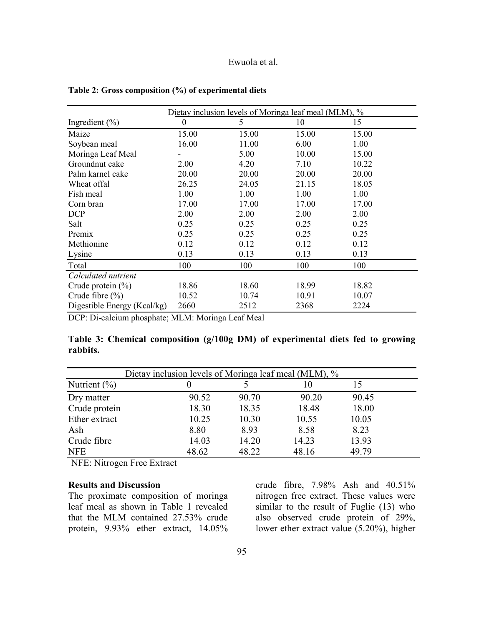|                             | Dietay inclusion levels of Moringa leaf meal (MLM), % |       |       |       |
|-----------------------------|-------------------------------------------------------|-------|-------|-------|
| Ingredient $(\% )$          | $\overline{0}$                                        | 5     | 10    | 15    |
| Maize                       | 15.00                                                 | 15.00 | 15.00 | 15.00 |
| Soybean meal                | 16.00                                                 | 11.00 | 6.00  | 1.00  |
| Moringa Leaf Meal           |                                                       | 5.00  | 10.00 | 15.00 |
| Groundnut cake              | 2.00                                                  | 4.20  | 7.10  | 10.22 |
| Palm karnel cake            | 20.00                                                 | 20.00 | 20.00 | 20.00 |
| Wheat offal                 | 26.25                                                 | 24.05 | 21.15 | 18.05 |
| Fish meal                   | 1.00                                                  | 1.00  | 1.00  | 1.00  |
| Corn bran                   | 17.00                                                 | 17.00 | 17.00 | 17.00 |
| <b>DCP</b>                  | 2.00                                                  | 2.00  | 2.00  | 2.00  |
| Salt                        | 0.25                                                  | 0.25  | 0.25  | 0.25  |
| Premix                      | 0.25                                                  | 0.25  | 0.25  | 0.25  |
| Methionine                  | 0.12                                                  | 0.12  | 0.12  | 0.12  |
| Lysine                      | 0.13                                                  | 0.13  | 0.13  | 0.13  |
| Total                       | 100                                                   | 100   | 100   | 100   |
| Calculated nutrient         |                                                       |       |       |       |
| Crude protein $(\% )$       | 18.86                                                 | 18.60 | 18.99 | 18.82 |
| Crude fibre $(\% )$         | 10.52                                                 | 10.74 | 10.91 | 10.07 |
| Digestible Energy (Kcal/kg) | 2660                                                  | 2512  | 2368  | 2224  |

**Table 2: Gross composition (%) of experimental diets** 

DCP: Di-calcium phosphate; MLM: Moringa Leaf Meal

**Table 3: Chemical composition (g/100g DM) of experimental diets fed to growing rabbits.** 

|                  | Dietay inclusion levels of Moringa leaf meal (MLM), % |       |       |       |  |
|------------------|-------------------------------------------------------|-------|-------|-------|--|
| Nutrient $(\% )$ |                                                       |       | 10    | 15    |  |
| Dry matter       | 90.52                                                 | 90.70 | 90.20 | 90.45 |  |
| Crude protein    | 18.30                                                 | 18.35 | 18.48 | 18.00 |  |
| Ether extract    | 10.25                                                 | 10.30 | 10.55 | 10.05 |  |
| Ash              | 8.80                                                  | 8.93  | 8.58  | 8.23  |  |
| Crude fibre      | 14.03                                                 | 14.20 | 14.23 | 13.93 |  |
| <b>NFE</b>       | 48.62                                                 | 48.22 | 48.16 | 49.79 |  |

NFE: Nitrogen Free Extract

### **Results and Discussion**

The proximate composition of moringa leaf meal as shown in Table 1 revealed that the MLM contained 27.53% crude protein, 9.93% ether extract, 14.05%

crude fibre, 7.98% Ash and 40.51% nitrogen free extract. These values were similar to the result of Fuglie (13) who also observed crude protein of 29%, lower ether extract value (5.20%), higher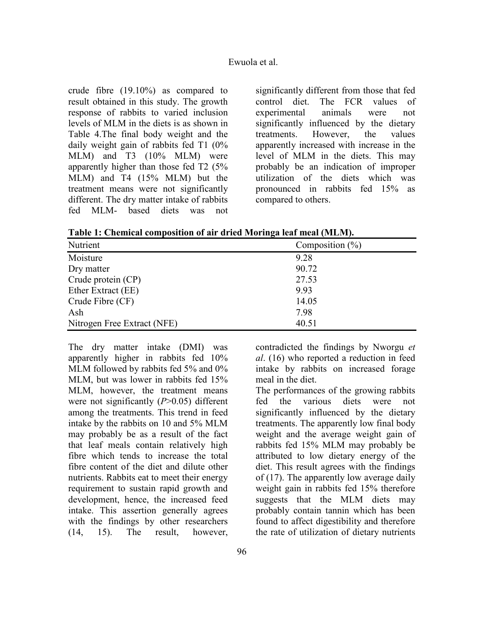crude fibre (19.10%) as compared to result obtained in this study. The growth response of rabbits to varied inclusion levels of MLM in the diets is as shown in Table 4.The final body weight and the daily weight gain of rabbits fed T1 (0% MLM) and T3 (10% MLM) were apparently higher than those fed T2 (5% MLM) and T4 (15% MLM) but the treatment means were not significantly different. The dry matter intake of rabbits fed MLM- based diets was not

significantly different from those that fed control diet. The FCR values of experimental animals were not significantly influenced by the dietary treatments. However, the values apparently increased with increase in the level of MLM in the diets. This may probably be an indication of improper utilization of the diets which was pronounced in rabbits fed 15% as compared to others.

**Table 1: Chemical composition of air dried Moringa leaf meal (MLM).** 

| Nutrient                    | Composition $(\% )$ |
|-----------------------------|---------------------|
| Moisture                    | 9.28                |
| Dry matter                  | 90.72               |
| Crude protein (CP)          | 27.53               |
| Ether Extract (EE)          | 9.93                |
| Crude Fibre (CF)            | 14.05               |
| Ash                         | 7.98                |
| Nitrogen Free Extract (NFE) | 40.51               |

The dry matter intake (DMI) was apparently higher in rabbits fed 10% MLM followed by rabbits fed 5% and 0% MLM, but was lower in rabbits fed 15% MLM, however, the treatment means were not significantly (*P*>0.05) different among the treatments. This trend in feed intake by the rabbits on 10 and 5% MLM may probably be as a result of the fact that leaf meals contain relatively high fibre which tends to increase the total fibre content of the diet and dilute other nutrients. Rabbits eat to meet their energy requirement to sustain rapid growth and development, hence, the increased feed intake. This assertion generally agrees with the findings by other researchers (14, 15). The result, however,

contradicted the findings by Nworgu *et al*. (16) who reported a reduction in feed intake by rabbits on increased forage meal in the diet.

The performances of the growing rabbits fed the various diets were not significantly influenced by the dietary treatments. The apparently low final body weight and the average weight gain of rabbits fed 15% MLM may probably be attributed to low dietary energy of the diet. This result agrees with the findings of (17). The apparently low average daily weight gain in rabbits fed 15% therefore suggests that the MLM diets may probably contain tannin which has been found to affect digestibility and therefore the rate of utilization of dietary nutrients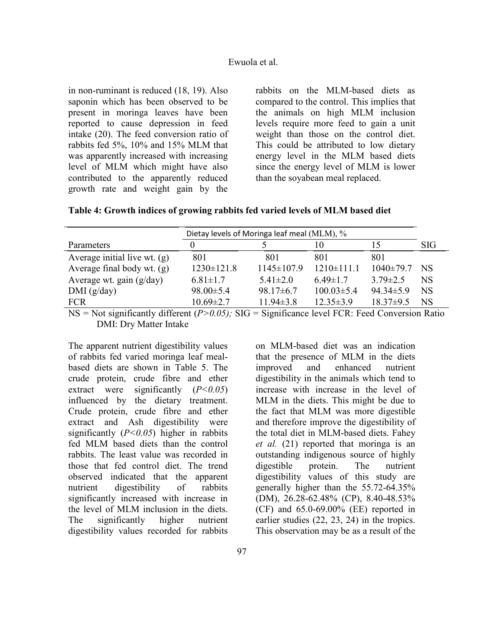in non-ruminant is reduced (18, 19). Also saponin which has been observed to be present in moringa leaves have been reported to cause depression in feed intake (20). The feed conversion ratio of rabbits fed 5%, 10% and 15% MLM that was apparently increased with increasing level of MLM which might have also contributed to the apparently reduced growth rate and weight gain by the rabbits on the MLM-based diets as compared to the control. This implies that the animals on high MLM inclusion levels require more feed to gain a unit weight than those on the control diet. This could be attributed to low dietary energy level in the MLM based diets since the energy level of MLM is lower than the soyabean meal replaced.

**Table 4: Growth indices of growing rabbits fed varied levels of MLM based diet** 

|                                | Dietay levels of Moringa leaf meal (MLM), % |                  |                  |                 |                 |
|--------------------------------|---------------------------------------------|------------------|------------------|-----------------|-----------------|
| Parameters                     |                                             |                  | 10               |                 | SIG             |
| Average initial live wt. $(g)$ | 801                                         | 801              | 801              | 801             |                 |
| Average final body wt. $(g)$   | $1230 \pm 121.8$                            | $1145 \pm 107.9$ | $1210 \pm 111.1$ | $1040 \pm 79.7$ | NS <sup>1</sup> |
| Average wt. gain $(g/day)$     | $6.81 \pm 1.7$                              | $5.41 \pm 2.0$   | $6.49 \pm 1.7$   | $3.79 \pm 2.5$  | <b>NS</b>       |
| DMI(g/day)                     | $98.00 \pm 5.4$                             | $98.17\pm 6.7$   | $100.03 \pm 5.4$ | $94.34 \pm 5.9$ | <b>NS</b>       |
| <b>FCR</b>                     | $10.69 \pm 2.7$                             | $11.94 \pm 3.8$  | $12.35 \pm 3.9$  | $18.37\pm9.5$   | <b>NS</b>       |

NS = Not significantly different (*P>0.05);* SIG = Significance level FCR: Feed Conversion Ratio DMI: Dry Matter Intake

The apparent nutrient digestibility values of rabbits fed varied moringa leaf mealbased diets are shown in Table 5. The crude protein, crude fibre and ether extract were significantly  $(P<0.05)$ influenced by the dietary treatment. Crude protein, crude fibre and ether extract and Ash digestibility were significantly  $(P<0.05)$  higher in rabbits fed MLM based diets than the control rabbits. The least value was recorded in those that fed control diet. The trend observed indicated that the apparent nutrient digestibility of rabbits significantly increased with increase in the level of MLM inclusion in the diets. The significantly higher nutrient digestibility values recorded for rabbits

that the presence of MLM in the diets improved and enhanced nutrient digestibility in the animals which tend to increase with increase in the level of MLM in the diets. This might be due to the fact that MLM was more digestible and therefore improve the digestibility of the total diet in MLM-based diets. Fahey *et al.* (21) reported that moringa is an outstanding indigenous source of highly digestible protein. The nutrient digestibility values of this study are generally higher than the 55.72-64.35% (DM), 26.28-62.48% (CP), 8.40-48.53% (CF) and 65.0-69.00% (EE) reported in earlier studies (22, 23, 24) in the tropics. This observation may be as a result of the

on MLM-based diet was an indication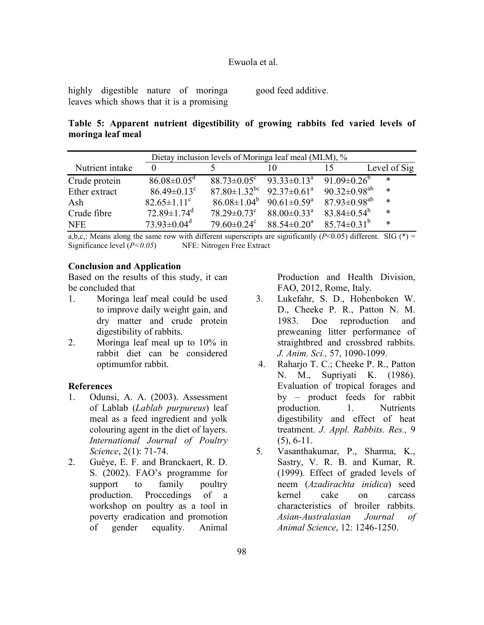highly digestible nature of moringa leaves which shows that it is a promising good feed additive.

# **Table 5: Apparent nutrient digestibility of growing rabbits fed varied levels of moringa leaf meal**

| Dietay inclusion levels of Moringa leaf meal (MLM), % |                               |                                                              |                                                              |                                |              |  |
|-------------------------------------------------------|-------------------------------|--------------------------------------------------------------|--------------------------------------------------------------|--------------------------------|--------------|--|
| Nutrient intake                                       | $\Omega$                      |                                                              |                                                              |                                | Level of Sig |  |
| Crude protein                                         | $86.08 \pm 0.05$ <sup>d</sup> | $88.73 \pm 0.05^{\circ}$ $93.33 \pm 0.13^{\circ}$            |                                                              | 91.09 $\pm$ 0.26 <sup>b</sup>  | $\ast$       |  |
| Ether extract                                         | $86.49 \pm 0.13$ <sup>c</sup> | $87.80 \pm 1.32$ <sup>bc</sup> 92.37 $\pm$ 0.61 <sup>a</sup> |                                                              | 90.32 $\pm$ 0.98 <sup>ab</sup> | $\ast$       |  |
| Ash                                                   | $82.65 \pm 1.11$ <sup>c</sup> | $86.08 \pm 1.04^b$                                           | 90.61 $\pm$ 0.59 <sup>a</sup> 87.93 $\pm$ 0.98 <sup>ab</sup> |                                | $\ast$       |  |
| Crude fibre                                           | $72.89 \pm 1.74$ <sup>d</sup> | $78.29 \pm 0.73$ <sup>c</sup>                                | $88.00 \pm 0.33$ <sup>a</sup>                                | 83.84 $\pm$ 0.54 <sup>b</sup>  | $\ast$       |  |
| <b>NFE</b>                                            | $73.93 \pm 0.04$ <sup>d</sup> | $79.60 \pm 0.24$ <sup>c</sup>                                | $88.54 \pm 0.20^a$                                           | $85.74 \pm 0.31^{\mathrm{b}}$  | $\ast$       |  |

a,b,c,: Means along the same row with different superscripts are significantly ( $P \le 0.05$ ) different. SIG (\*) = Significance level (*P<0.05*) NFE: Nitrogen Free Extract

### **Conclusion and Application**

Based on the results of this study, it can be concluded that

- 1. Moringa leaf meal could be used to improve daily weight gain, and dry matter and crude protein digestibility of rabbits.
- 2. Moringa leaf meal up to 10% in rabbit diet can be considered optimumfor rabbit.

### **References**

- 1. Odunsi, A. A. (2003). Assessment of Lablab (*Lablab purpureus*) leaf meal as a feed ingredient and yolk colouring agent in the diet of layers. *International Journal of Poultry Science*, 2(1): 71-74.
- 2. Guèye, E. F. and Branckaert, R. D. S. (2002). FAO's programme for support to family poultry production. Proccedings of a workshop on poultry as a tool in poverty eradication and promotion of gender equality. Animal

Production and Health Division, FAO, 2012, Rome, Italy.

- 3. Lukefahr, S. D., Hohenboken W. D., Cheeke P. R., Patton N. M. 1983. Doe reproduction and preweaning litter performance of straightbred and crossbred rabbits. *J. Anim. Sci.,* 57, 1090-1099.
- 4. Raharjo T. C.; Cheeke P. R., Patton N. M., Supriyati K. (1986). Evaluation of tropical forages and by – product feeds for rabbit production. 1. Nutrients digestibility and effect of heat treatment. *J. Appl. Rabbits. Res.,* 9 (5), 6-11.
- 5. Vasanthakumar, P., Sharma, K., Sastry, V. R. B. and Kumar, R. (1999). Effect of graded levels of neem (*Azadirachta inidica*) seed kernel cake on carcass characteristics of broiler rabbits. *Asian-Australasian Journal of Animal Science*, 12: 1246-1250.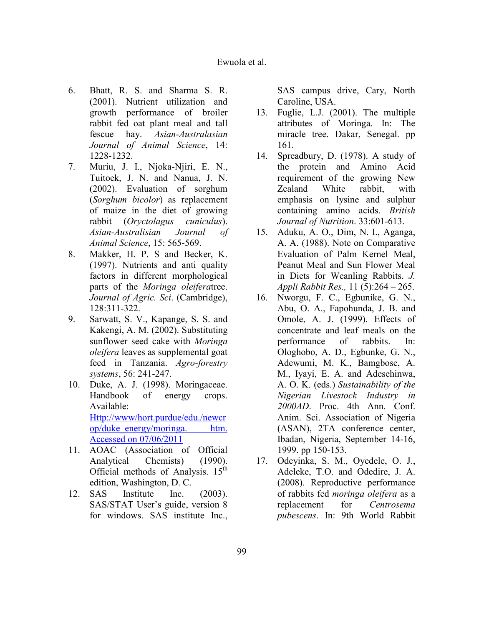- 6. Bhatt, R. S. and Sharma S. R. (2001). Nutrient utilization and growth performance of broiler rabbit fed oat plant meal and tall fescue hay. *Asian-Australasian Journal of Animal Science*, 14: 1228-1232.
- 7. Muriu, J. I., Njoka-Njiri, E. N., Tuitoek, J. N. and Nanua, J. N. (2002). Evaluation of sorghum (*Sorghum bicolor*) as replacement of maize in the diet of growing rabbit (*Oryctolagus cuniculus*). *Asian-Australisian Journal of Animal Science*, 15: 565-569.
- 8. Makker, H. P. S and Becker, K. (1997). Nutrients and anti quality factors in different morphological parts of the *Moringa oleifera*tree. *Journal of Agric. Sci*. (Cambridge), 128:311-322.
- 9. Sarwatt, S. V., Kapange, S. S. and Kakengi, A. M. (2002). Substituting sunflower seed cake with *Moringa oleifera* leaves as supplemental goat feed in Tanzania. *Agro-forestry systems*, 56: 241-247.
- 10. Duke, A. J. (1998). Moringaceae. Handbook of energy crops. Available: Http://www/hort.purdue/edu./newcr op/duke\_energy/moringa. htm. Accessed on 07/06/2011
- 11. AOAC (Association of Official Analytical Chemists) (1990). Official methods of Analysis.  $15<sup>th</sup>$ edition, Washington, D. C.
- 12. SAS Institute Inc. (2003). SAS/STAT User's guide, version 8 for windows. SAS institute Inc.,

SAS campus drive, Cary, North Caroline, USA.

- 13. Fuglie, L.J. (2001). The multiple attributes of Moringa. In: The miracle tree. Dakar, Senegal. pp 161.
- 14. Spreadbury, D. (1978). A study of the protein and Amino Acid requirement of the growing New Zealand White rabbit, with emphasis on lysine and sulphur containing amino acids. *British Journal of Nutrition*. 33:601-613.
- 15. Aduku, A. O., Dim, N. I., Aganga, A. A. (1988). Note on Comparative Evaluation of Palm Kernel Meal, Peanut Meal and Sun Flower Meal in Diets for Weanling Rabbits. *J. Appli Rabbit Res.,* 11 (5):264 – 265.
- 16. Nworgu, F. C., Egbunike, G. N., Abu, O. A., Fapohunda, J. B. and Omole, A. J. (1999). Effects of concentrate and leaf meals on the performance of rabbits. In: Ologhobo, A. D., Egbunke, G. N., Adewumi, M. K., Bamgbose, A. M., Iyayi, E. A. and Adesehinwa, A. O. K. (eds.) *Sustainability of the igerian Livestock Industry in 2000AD*. Proc. 4th Ann. Conf. Anim. Sci. Association of Nigeria (ASAN), 2TA conference center, Ibadan, Nigeria, September 14-16, 1999. pp 150-153.
- 17. Odeyinka, S. M., Oyedele, O. J., Adeleke, T.O. and Odedire, J. A. (2008). Reproductive performance of rabbits fed *moringa oleifera* as a replacement for *Centrosema pubescens*. In: 9th World Rabbit